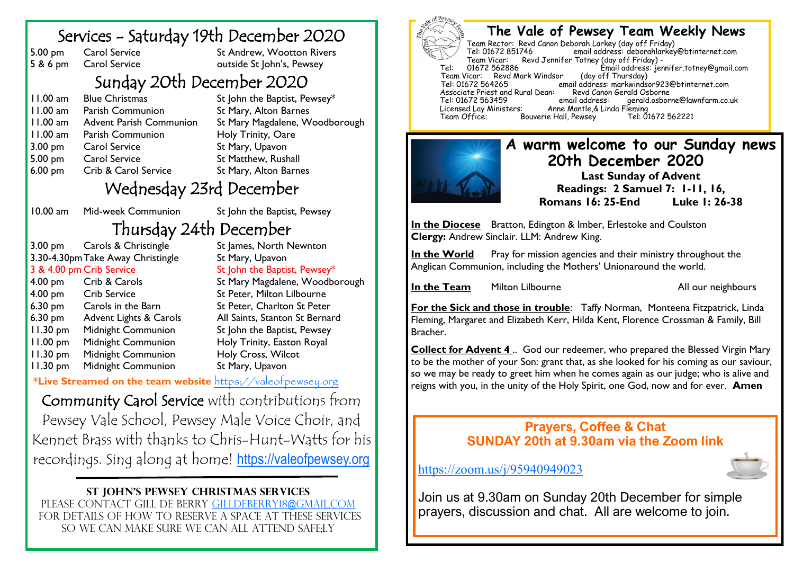### Services - Saturday 19th December 2020

5.00 pm Carol Service St Andrew, Wootton Rivers<br>
S & 6 pm Carol Service outside St John's, Pewsey Carol Service outside St John's, Pewsey

# Sunday 20th December 2020

11.00 am Blue Christmas St John the Baptist, Pewsey\* 11.00 am Parish Communion St Mary, Alton Barnes 11.00 am Advent Parish Communion St Mary Magdalene, Woodborough 11.00 am Parish Communion Holy Trinity, Oare 3.00 pm Carol Service St Mary, Upavon 5.00 pm Carol Service St Matthew, Rushall 6.00 pm Crib & Carol Service St Mary, Alton Barnes

## Wednesday 23rd December

10.00 am Mid-week Communion St John the Baptist, Pewsey

# Thursday 24th December<br>Carols & Christingle St James, North N

3.00 pm Carols & Christingle St James, North Newnton 3.30-4.30pmTake Away Christingle St Mary, Upavon 3 & 4.00 pm Crib Service St John the Baptist, Pewsey\* 4.00 pm Crib & Carols St Mary Magdalene, Woodborough 4.00 pm Crib Service St Peter, Milton Lilbourne 6.30 pm Carols in the Barn St Peter, Charlton St Peter 6.30 pm Advent Lights & Carols All Saints, Stanton St Bernard 11.30 pm Midnight Communion St John the Baptist, Pewsey 11.00 pm Midnight Communion Holy Trinity, Easton Royal 11.30 pm Midnight Communion Holy Cross, Wilcot 11.30 pm Midnight Communion St Mary, Upavon

**\*Live Streamed on the team website** <https://valeofpewsey.org>

Community Carol Service with contributions from Pewsey Vale School, Pewsey Male Voice Choir, and Kennet Brass with thanks to Chris-Hunt-Watts for his recordings. Sing along at home! <https://valeofpewsey.org>

#### **St John's Pewsey Christmas services**

Please contact gill De berry [gilldeberry18@gmail.com](mailto:gilldeberry18@gmail.com) for details of how to reserve a space at these services so we can make sure we can all attend safe;ly



#### **The Vale of Pewsey Team Weekly News**

Team Rector: Revd Canon Deborah Larkey (day off Friday) email address: deborahlarkey@btinternet.com Team Vicar: Revd Jennifer Totney (day off Friday) -<br>01672 562886 Fmail address: ier Tel: 01672 562886 Email address: jennifer.totney@gmail.com Team Vicar: Revd Mark Windsor<br>Tel: 01672 564265 email address: markwindsor923@btinternet.com<br>Revd Canon Gerald Osborne Associate Priest and Rural Dean: Revd Canon<br>Tel: 01672 563459 email address: Tel: 01672 563459 email address: gerald.osborne@lawnfarm.co.uk Licensed Lay Ministers: Anne Mantle,& Linda Fleming Bouverie Hall, Pewsey



#### **A warm welcome to our Sunday news 20th December 2020**

**Last Sunday of Advent Readings: 2 Samuel 7: 1-11, 16, Romans 16: 25-End Luke 1: 26-38**

**In the Diocese** Bratton, Edington & Imber, Erlestoke and Coulston **Clergy:** Andrew Sinclair. LLM: Andrew King.

**In the World** Pray for mission agencies and their ministry throughout the Anglican Communion, including the Mothers' Unionaround the world.

**In the Team** Milton Lilbourne Manuel All our neighbours

**For the Sick and those in trouble**: Taffy Norman, Monteena Fitzpatrick, Linda Fleming, Margaret and Elizabeth Kerr, Hilda Kent, Florence Crossman & Family, Bill Bracher.

**Collect for Advent 4** .. God our redeemer, who prepared the Blessed Virgin Mary to be the mother of your Son: grant that, as she looked for his coming as our saviour, so we may be ready to greet him when he comes again as our judge; who is alive and reigns with you, in the unity of the Holy Spirit, one God, now and for ever. **Amen**

#### **Prayers, Coffee & Chat SUNDAY 20th at 9.30am via the Zoom link**

<https://zoom.us/j/95940949023>

Join us at 9.30am on Sunday 20th December for simple prayers, discussion and chat. All are welcome to join.